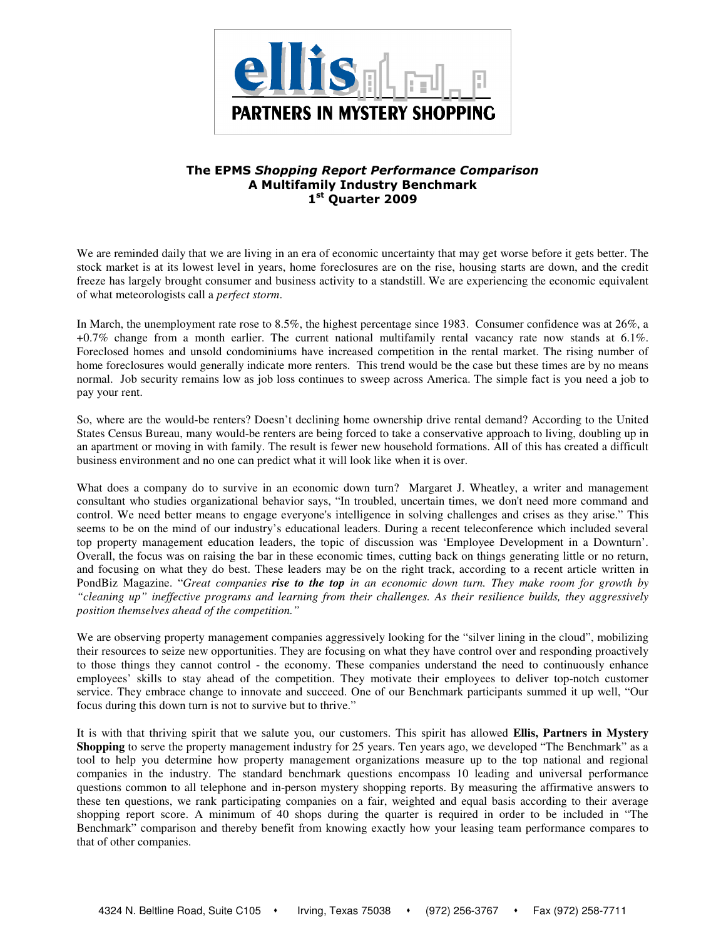

# The EPMS Shopping Report Performance Comparison A Multifamily Industry Benchmark 1st Quarter 2009

We are reminded daily that we are living in an era of economic uncertainty that may get worse before it gets better. The stock market is at its lowest level in years, home foreclosures are on the rise, housing starts are down, and the credit freeze has largely brought consumer and business activity to a standstill. We are experiencing the economic equivalent of what meteorologists call a *perfect storm*.

In March, the unemployment rate rose to 8.5%, the highest percentage since 1983. Consumer confidence was at 26%, a +0.7% change from a month earlier. The current national multifamily rental vacancy rate now stands at 6.1%. Foreclosed homes and unsold condominiums have increased competition in the rental market. The rising number of home foreclosures would generally indicate more renters. This trend would be the case but these times are by no means normal. Job security remains low as job loss continues to sweep across America. The simple fact is you need a job to pay your rent.

So, where are the would-be renters? Doesn't declining home ownership drive rental demand? According to the United States Census Bureau, many would-be renters are being forced to take a conservative approach to living, doubling up in an apartment or moving in with family. The result is fewer new household formations. All of this has created a difficult business environment and no one can predict what it will look like when it is over.

What does a company do to survive in an economic down turn? Margaret J. Wheatley, a writer and management consultant who studies organizational behavior says, "In troubled, uncertain times, we don't need more command and control. We need better means to engage everyone's intelligence in solving challenges and crises as they arise." This seems to be on the mind of our industry's educational leaders. During a recent teleconference which included several top property management education leaders, the topic of discussion was 'Employee Development in a Downturn'. Overall, the focus was on raising the bar in these economic times, cutting back on things generating little or no return, and focusing on what they do best. These leaders may be on the right track, according to a recent article written in PondBiz Magazine. "*Great companies rise to the top in an economic down turn. They make room for growth by "cleaning up" ineffective programs and learning from their challenges. As their resilience builds, they aggressively position themselves ahead of the competition."* 

We are observing property management companies aggressively looking for the "silver lining in the cloud", mobilizing their resources to seize new opportunities. They are focusing on what they have control over and responding proactively to those things they cannot control - the economy. These companies understand the need to continuously enhance employees' skills to stay ahead of the competition. They motivate their employees to deliver top-notch customer service. They embrace change to innovate and succeed. One of our Benchmark participants summed it up well, "Our focus during this down turn is not to survive but to thrive."

It is with that thriving spirit that we salute you, our customers. This spirit has allowed **Ellis, Partners in Mystery Shopping** to serve the property management industry for 25 years. Ten years ago, we developed "The Benchmark" as a tool to help you determine how property management organizations measure up to the top national and regional companies in the industry. The standard benchmark questions encompass 10 leading and universal performance questions common to all telephone and in-person mystery shopping reports. By measuring the affirmative answers to these ten questions, we rank participating companies on a fair, weighted and equal basis according to their average shopping report score. A minimum of 40 shops during the quarter is required in order to be included in "The Benchmark" comparison and thereby benefit from knowing exactly how your leasing team performance compares to that of other companies.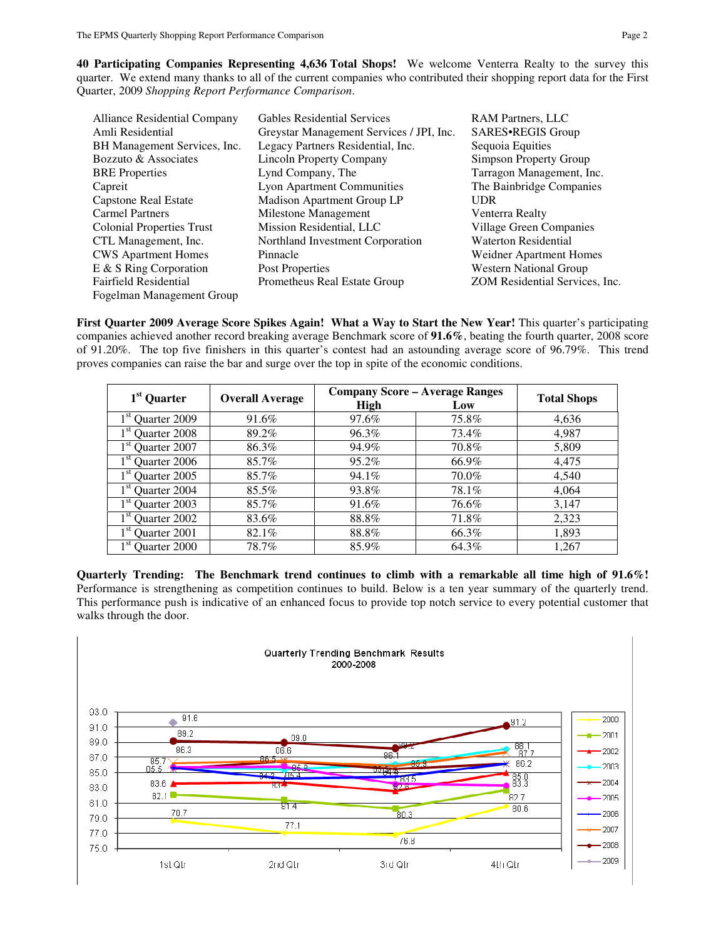**40 Participating Companies Representing 4,636 Total Shops!** We welcome Venterra Realty to the survey this quarter. We extend many thanks to all of the current companies who contributed their shopping report data for the First Quarter, 2009 *Shopping Report Performance Comparison*.

| <b>Alliance Residential Company</b> | <b>Gables Residential Services</b>       | <b>RAM Partners, LLC</b>       |
|-------------------------------------|------------------------------------------|--------------------------------|
| Amli Residential                    | Greystar Management Services / JPI, Inc. | SARES.REGIS Group              |
| BH Management Services, Inc.        | Legacy Partners Residential, Inc.        | Sequoia Equities               |
| Bozzuto & Associates                | <b>Lincoln Property Company</b>          | Simpson Property Group         |
| <b>BRE</b> Properties               | Lynd Company, The                        | Tarragon Management, Inc.      |
| Capreit                             | <b>Lyon Apartment Communities</b>        | The Bainbridge Companies       |
| Capstone Real Estate                | Madison Apartment Group LP               | <b>UDR</b>                     |
| <b>Carmel Partners</b>              | Milestone Management                     | Venterra Realty                |
| <b>Colonial Properties Trust</b>    | Mission Residential, LLC                 | Village Green Companies        |
| CTL Management, Inc.                | Northland Investment Corporation         | <b>Waterton Residential</b>    |
| <b>CWS</b> Apartment Homes          | Pinnacle                                 | Weidner Apartment Homes        |
| E & S Ring Corporation              | Post Properties                          | <b>Western National Group</b>  |
| <b>Fairfield Residential</b>        | Prometheus Real Estate Group             | ZOM Residential Services, Inc. |
| Fogelman Management Group           |                                          |                                |

**First Quarter 2009 Average Score Spikes Again! What a Way to Start the New Year!** This quarter's participating companies achieved another record breaking average Benchmark score of **91.6%**, beating the fourth quarter, 2008 score of 91.20%. The top five finishers in this quarter's contest had an astounding average score of 96.79%. This trend proves companies can raise the bar and surge over the top in spite of the economic conditions.

| 1 <sup>st</sup> Quarter         |                        |             | <b>Company Score - Average Ranges</b> | <b>Total Shops</b> |  |
|---------------------------------|------------------------|-------------|---------------------------------------|--------------------|--|
|                                 | <b>Overall Average</b> | <b>High</b> | Low                                   |                    |  |
| 1 <sup>st</sup> Quarter 2009    | 91.6%                  | 97.6%       | 75.8%                                 | 4,636              |  |
| 1 <sup>st</sup> Quarter 2008    | 89.2%                  | 96.3%       | 73.4%                                 | 4,987              |  |
| 1 <sup>st</sup> Quarter 2007    | 86.3%                  | 94.9%       | 70.8%                                 | 5,809              |  |
| Quarter 2006                    | 85.7%                  | 95.2%       | 66.9%                                 | 4,475              |  |
| $1st$ Quarter 2005              | 85.7%                  | 94.1%       | 70.0%                                 | 4,540              |  |
| 1 <sup>st</sup> Quarter 2004    | 85.5%                  | 93.8%       | 78.1%                                 | 4.064              |  |
| 1 <sup>st</sup><br>Quarter 2003 | 85.7%                  | 91.6%       | 76.6%                                 | 3,147              |  |
| 1 <sup>st</sup><br>Quarter 2002 | 83.6%                  | 88.8%       | 71.8%                                 | 2,323              |  |
| $1^{\rm st}$<br>Quarter 2001    | 82.1%                  | 88.8%       | 66.3%                                 | 1,893              |  |
| 1 <sup>st</sup> Quarter 2000    | 78.7%                  | 85.9%       | 64.3%                                 | 1,267              |  |

**Quarterly Trending: The Benchmark trend continues to climb with a remarkable all time high of 91.6%!** Performance is strengthening as competition continues to build. Below is a ten year summary of the quarterly trend. This performance push is indicative of an enhanced focus to provide top notch service to every potential customer that walks through the door.

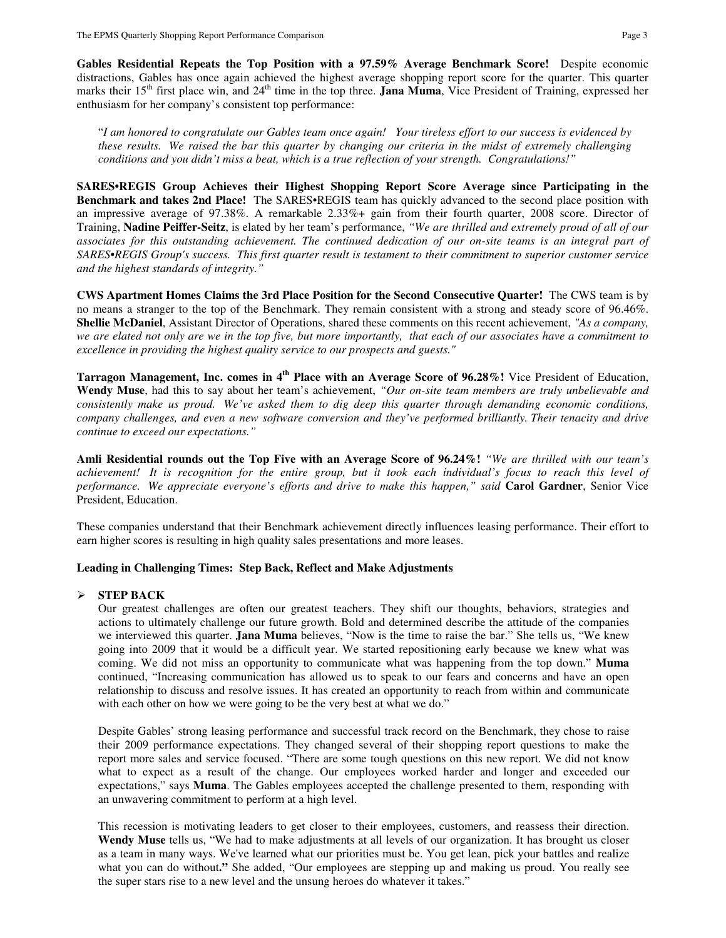**Gables Residential Repeats the Top Position with a 97.59% Average Benchmark Score!** Despite economic distractions, Gables has once again achieved the highest average shopping report score for the quarter. This quarter marks their 15<sup>th</sup> first place win, and 24<sup>th</sup> time in the top three. **Jana Muma**, Vice President of Training, expressed her enthusiasm for her company's consistent top performance:

"*I am honored to congratulate our Gables team once again! Your tireless effort to our success is evidenced by these results. We raised the bar this quarter by changing our criteria in the midst of extremely challenging conditions and you didn't miss a beat, which is a true reflection of your strength. Congratulations!"*

**SARES•REGIS Group Achieves their Highest Shopping Report Score Average since Participating in the Benchmark and takes 2nd Place!** The SARES•REGIS team has quickly advanced to the second place position with an impressive average of 97.38%. A remarkable 2.33%+ gain from their fourth quarter, 2008 score. Director of Training, **Nadine Peiffer-Seitz**, is elated by her team's performance, *"We are thrilled and extremely proud of all of our associates for this outstanding achievement. The continued dedication of our on-site teams is an integral part of SARES•REGIS Group's success. This first quarter result is testament to their commitment to superior customer service and the highest standards of integrity."* 

**CWS Apartment Homes Claims the 3rd Place Position for the Second Consecutive Quarter!** The CWS team is by no means a stranger to the top of the Benchmark. They remain consistent with a strong and steady score of 96.46%. **Shellie McDaniel**, Assistant Director of Operations, shared these comments on this recent achievement, *"As a company, we are elated not only are we in the top five, but more importantly, that each of our associates have a commitment to excellence in providing the highest quality service to our prospects and guests."* 

**Tarragon Management, Inc. comes in 4th Place with an Average Score of 96.28%!** Vice President of Education, **Wendy Muse**, had this to say about her team's achievement, *"Our on-site team members are truly unbelievable and consistently make us proud. We've asked them to dig deep this quarter through demanding economic conditions, company challenges, and even a new software conversion and they've performed brilliantly. Their tenacity and drive continue to exceed our expectations."* 

**Amli Residential rounds out the Top Five with an Average Score of 96.24%!** *"We are thrilled with our team's achievement! It is recognition for the entire group, but it took each individual's focus to reach this level of performance. We appreciate everyone's efforts and drive to make this happen," said* **Carol Gardner**, Senior Vice President, Education.

These companies understand that their Benchmark achievement directly influences leasing performance. Their effort to earn higher scores is resulting in high quality sales presentations and more leases.

#### **Leading in Challenging Times: Step Back, Reflect and Make Adjustments**

# **STEP BACK**

Our greatest challenges are often our greatest teachers. They shift our thoughts, behaviors, strategies and actions to ultimately challenge our future growth. Bold and determined describe the attitude of the companies we interviewed this quarter. **Jana Muma** believes, "Now is the time to raise the bar." She tells us, "We knew going into 2009 that it would be a difficult year. We started repositioning early because we knew what was coming. We did not miss an opportunity to communicate what was happening from the top down." **Muma** continued, "Increasing communication has allowed us to speak to our fears and concerns and have an open relationship to discuss and resolve issues. It has created an opportunity to reach from within and communicate with each other on how we were going to be the very best at what we do."

Despite Gables' strong leasing performance and successful track record on the Benchmark, they chose to raise their 2009 performance expectations. They changed several of their shopping report questions to make the report more sales and service focused. "There are some tough questions on this new report. We did not know what to expect as a result of the change. Our employees worked harder and longer and exceeded our expectations," says **Muma**. The Gables employees accepted the challenge presented to them, responding with an unwavering commitment to perform at a high level.

This recession is motivating leaders to get closer to their employees, customers, and reassess their direction. **Wendy Muse** tells us, "We had to make adjustments at all levels of our organization. It has brought us closer as a team in many ways. We've learned what our priorities must be. You get lean, pick your battles and realize what you can do without**."** She added, "Our employees are stepping up and making us proud. You really see the super stars rise to a new level and the unsung heroes do whatever it takes."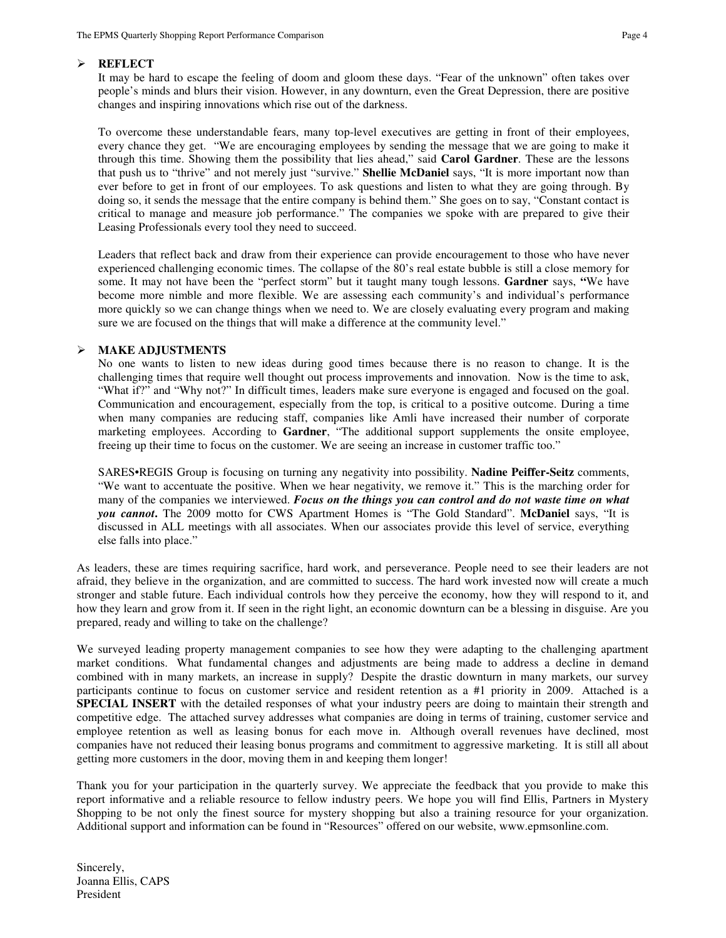# **REFLECT**

It may be hard to escape the feeling of doom and gloom these days. "Fear of the unknown" often takes over people's minds and blurs their vision. However, in any downturn, even the Great Depression, there are positive changes and inspiring innovations which rise out of the darkness.

To overcome these understandable fears, many top-level executives are getting in front of their employees, every chance they get. "We are encouraging employees by sending the message that we are going to make it through this time. Showing them the possibility that lies ahead," said **Carol Gardner**. These are the lessons that push us to "thrive" and not merely just "survive." **Shellie McDaniel** says, "It is more important now than ever before to get in front of our employees. To ask questions and listen to what they are going through. By doing so, it sends the message that the entire company is behind them." She goes on to say, "Constant contact is critical to manage and measure job performance." The companies we spoke with are prepared to give their Leasing Professionals every tool they need to succeed.

Leaders that reflect back and draw from their experience can provide encouragement to those who have never experienced challenging economic times. The collapse of the 80's real estate bubble is still a close memory for some. It may not have been the "perfect storm" but it taught many tough lessons. **Gardner** says, **"**We have become more nimble and more flexible. We are assessing each community's and individual's performance more quickly so we can change things when we need to. We are closely evaluating every program and making sure we are focused on the things that will make a difference at the community level."

# **MAKE ADJUSTMENTS**

No one wants to listen to new ideas during good times because there is no reason to change. It is the challenging times that require well thought out process improvements and innovation. Now is the time to ask, "What if?" and "Why not?" In difficult times, leaders make sure everyone is engaged and focused on the goal. Communication and encouragement, especially from the top, is critical to a positive outcome. During a time when many companies are reducing staff, companies like Amli have increased their number of corporate marketing employees. According to **Gardner**, "The additional support supplements the onsite employee, freeing up their time to focus on the customer. We are seeing an increase in customer traffic too."

SARES•REGIS Group is focusing on turning any negativity into possibility. **Nadine Peiffer-Seitz** comments, "We want to accentuate the positive. When we hear negativity, we remove it." This is the marching order for many of the companies we interviewed. *Focus on the things you can control and do not waste time on what you cannot***.** The 2009 motto for CWS Apartment Homes is "The Gold Standard". **McDaniel** says, "It is discussed in ALL meetings with all associates. When our associates provide this level of service, everything else falls into place."

As leaders, these are times requiring sacrifice, hard work, and perseverance. People need to see their leaders are not afraid, they believe in the organization, and are committed to success. The hard work invested now will create a much stronger and stable future. Each individual controls how they perceive the economy, how they will respond to it, and how they learn and grow from it. If seen in the right light, an economic downturn can be a blessing in disguise. Are you prepared, ready and willing to take on the challenge?

We surveyed leading property management companies to see how they were adapting to the challenging apartment market conditions. What fundamental changes and adjustments are being made to address a decline in demand combined with in many markets, an increase in supply? Despite the drastic downturn in many markets, our survey participants continue to focus on customer service and resident retention as a #1 priority in 2009. Attached is a **SPECIAL INSERT** with the detailed responses of what your industry peers are doing to maintain their strength and competitive edge. The attached survey addresses what companies are doing in terms of training, customer service and employee retention as well as leasing bonus for each move in. Although overall revenues have declined, most companies have not reduced their leasing bonus programs and commitment to aggressive marketing. It is still all about getting more customers in the door, moving them in and keeping them longer!

Thank you for your participation in the quarterly survey. We appreciate the feedback that you provide to make this report informative and a reliable resource to fellow industry peers. We hope you will find Ellis, Partners in Mystery Shopping to be not only the finest source for mystery shopping but also a training resource for your organization. Additional support and information can be found in "Resources" offered on our website, www.epmsonline.com.

Sincerely, Joanna Ellis, CAPS President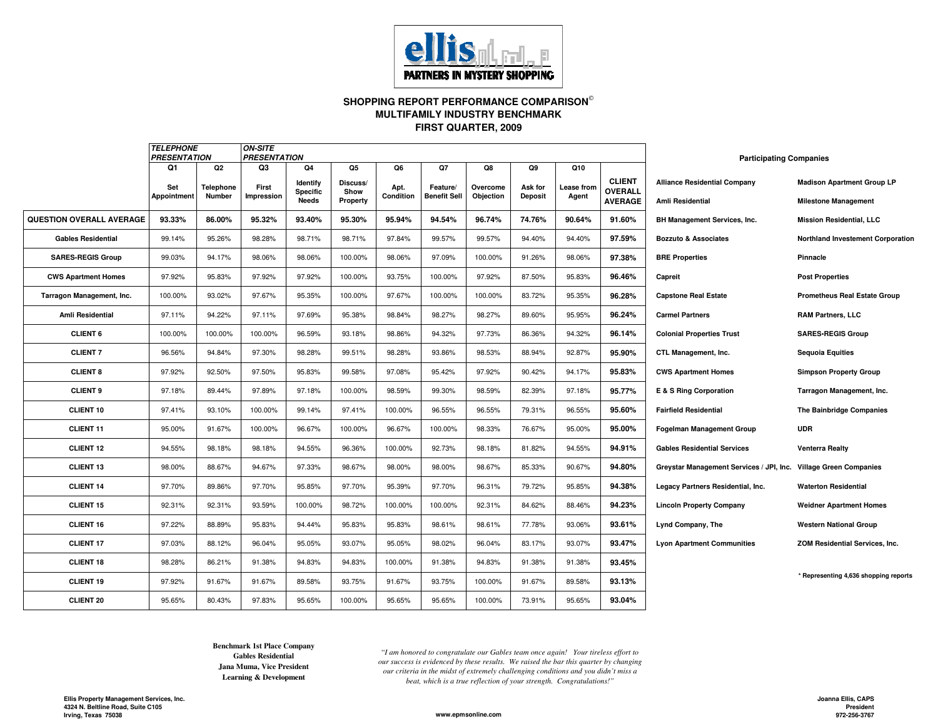

#### **SHOPPING REPORT PERFORMANCE COMPARISON FIRST QUARTER, 2009MULTIFAMILY INDUSTRY BENCHMARK**

|                                 | <b>TELEPHONE</b><br><b>PRESENTATION</b> |                | <b>ON-SITE</b><br><b>PRESENTATION</b> |                                    |                  |           |                     |           |         |            |                          | <b>Participating Companies</b>                                   |                                          |
|---------------------------------|-----------------------------------------|----------------|---------------------------------------|------------------------------------|------------------|-----------|---------------------|-----------|---------|------------|--------------------------|------------------------------------------------------------------|------------------------------------------|
|                                 | Q1                                      | Q <sub>2</sub> | Q <sub>3</sub>                        | Q4                                 | Q5               | Q6        | Q7                  | Q8        | Q9      | Q10        |                          |                                                                  |                                          |
|                                 | Set                                     | Telephone      | First                                 | <b>Identify</b><br><b>Specific</b> | Discuss/<br>Show | Apt.      | Feature/            | Overcome  | Ask for | Lease from | <b>CLIENT</b><br>OVERALL | <b>Alliance Residential Company</b>                              | <b>Madison Apartment Group LP</b>        |
|                                 | <b>Appointment</b>                      | <b>Number</b>  | Impression                            | <b>Needs</b>                       | Property         | Condition | <b>Benefit Sell</b> | Objection | Deposit | Agent      | <b>AVERAGE</b>           | Amli Residential                                                 | <b>Milestone Management</b>              |
| <b>QUESTION OVERALL AVERAGE</b> | 93.33%                                  | 86.00%         | 95.32%                                | 93.40%                             | 95.30%           | 95.94%    | 94.54%              | 96.74%    | 74.76%  | 90.64%     | 91.60%                   | <b>BH Management Services, Inc.</b>                              | <b>Mission Residential, LLC</b>          |
| <b>Gables Residential</b>       | 99.14%                                  | 95.26%         | 98.28%                                | 98.71%                             | 98.71%           | 97.84%    | 99.57%              | 99.57%    | 94.40%  | 94.40%     | 97.59%                   | <b>Bozzuto &amp; Associates</b>                                  | <b>Northland Investement Corporation</b> |
| <b>SARES-REGIS Group</b>        | 99.03%                                  | 94.17%         | 98.06%                                | 98.06%                             | 100.00%          | 98.06%    | 97.09%              | 100.00%   | 91.26%  | 98.06%     | 97.38%                   | <b>BRE Properties</b>                                            | Pinnacle                                 |
| <b>CWS Apartment Homes</b>      | 97.92%                                  | 95.83%         | 97.92%                                | 97.92%                             | 100.00%          | 93.75%    | 100.00%             | 97.92%    | 87.50%  | 95.83%     | 96.46%                   | Capreit                                                          | <b>Post Properties</b>                   |
| Tarragon Management, Inc.       | 100.00%                                 | 93.02%         | 97.67%                                | 95.35%                             | 100.00%          | 97.67%    | 100.00%             | 100.00%   | 83.72%  | 95.35%     | 96.28%                   | <b>Capstone Real Estate</b>                                      | <b>Prometheus Real Estate Group</b>      |
| Amli Residential                | 97.11%                                  | 94.22%         | 97.11%                                | 97.69%                             | 95.38%           | 98.84%    | 98.27%              | 98.27%    | 89.60%  | 95.95%     | 96.24%                   | <b>Carmel Partners</b>                                           | <b>RAM Partners, LLC</b>                 |
| <b>CLIENT 6</b>                 | 100.00%                                 | 100.00%        | 100.00%                               | 96.59%                             | 93.18%           | 98.86%    | 94.32%              | 97.73%    | 86.36%  | 94.32%     | 96.14%                   | <b>Colonial Properties Trust</b>                                 | <b>SARES-REGIS Group</b>                 |
| <b>CLIENT 7</b>                 | 96.56%                                  | 94.84%         | 97.30%                                | 98.28%                             | 99.51%           | 98.28%    | 93.86%              | 98.53%    | 88.94%  | 92.87%     | 95.90%                   | CTL Management, Inc.                                             | <b>Sequoia Equities</b>                  |
| <b>CLIENT 8</b>                 | 97.92%                                  | 92.50%         | 97.50%                                | 95.83%                             | 99.58%           | 97.08%    | 95.42%              | 97.92%    | 90.42%  | 94.17%     | 95.83%                   | <b>CWS Apartment Homes</b>                                       | <b>Simpson Property Group</b>            |
| <b>CLIENT 9</b>                 | 97.18%                                  | 89.44%         | 97.89%                                | 97.18%                             | 100.00%          | 98.59%    | 99.30%              | 98.59%    | 82.39%  | 97.18%     | 95.77%                   | E & S Ring Corporation                                           | Tarragon Management, Inc.                |
| CLIENT <sub>10</sub>            | 97.41%                                  | 93.10%         | 100.00%                               | 99.14%                             | 97.41%           | 100.00%   | 96.55%              | 96.55%    | 79.31%  | 96.55%     | 95.60%                   | <b>Fairfield Residential</b>                                     | The Bainbridge Companies                 |
| <b>CLIENT 11</b>                | 95.00%                                  | 91.67%         | 100.00%                               | 96.67%                             | 100.00%          | 96.67%    | 100.00%             | 98.33%    | 76.67%  | 95.00%     | 95.00%                   | <b>Fogelman Management Group</b>                                 | <b>UDR</b>                               |
| <b>CLIENT 12</b>                | 94.55%                                  | 98.18%         | 98.18%                                | 94.55%                             | 96.36%           | 100.00%   | 92.73%              | 98.18%    | 81.82%  | 94.55%     | 94.91%                   | <b>Gables Residential Services</b>                               | <b>Venterra Realty</b>                   |
| <b>CLIENT 13</b>                | 98.00%                                  | 88.67%         | 94.67%                                | 97.33%                             | 98.67%           | 98.00%    | 98.00%              | 98.67%    | 85.33%  | 90.67%     | 94.80%                   | Greystar Management Services / JPI, Inc. Village Green Companies |                                          |
| <b>CLIENT 14</b>                | 97.70%                                  | 89.86%         | 97.70%                                | 95.85%                             | 97.70%           | 95.39%    | 97.70%              | 96.31%    | 79.72%  | 95.85%     | 94.38%                   | Legacy Partners Residential, Inc.                                | <b>Waterton Residential</b>              |
| <b>CLIENT 15</b>                | 92.31%                                  | 92.31%         | 93.59%                                | 100.00%                            | 98.72%           | 100.00%   | 100.00%             | 92.31%    | 84.62%  | 88.46%     | 94.23%                   | <b>Lincoln Property Company</b>                                  | <b>Weidner Apartment Homes</b>           |
| <b>CLIENT 16</b>                | 97.22%                                  | 88.89%         | 95.83%                                | 94.44%                             | 95.83%           | 95.83%    | 98.61%              | 98.61%    | 77.78%  | 93.06%     | 93.61%                   | Lynd Company, The                                                | <b>Western National Group</b>            |
| <b>CLIENT 17</b>                | 97.03%                                  | 88.12%         | 96.04%                                | 95.05%                             | 93.07%           | 95.05%    | 98.02%              | 96.04%    | 83.17%  | 93.07%     | 93.47%                   | <b>Lyon Apartment Communities</b>                                | ZOM Residential Services, Inc.           |
| <b>CLIENT 18</b>                | 98.28%                                  | 86.21%         | 91.38%                                | 94.83%                             | 94.83%           | 100.00%   | 91.38%              | 94.83%    | 91.38%  | 91.38%     | 93.45%                   |                                                                  |                                          |
| <b>CLIENT 19</b>                | 97.92%                                  | 91.67%         | 91.67%                                | 89.58%                             | 93.75%           | 91.67%    | 93.75%              | 100.00%   | 91.67%  | 89.58%     | 93.13%                   |                                                                  | * Representing 4,636 shopping reports    |
| <b>CLIENT 20</b>                | 95.65%                                  | 80.43%         | 97.83%                                | 95.65%                             | 100.00%          | 95.65%    | 95.65%              | 100.00%   | 73.91%  | 95.65%     | 93.04%                   |                                                                  |                                          |

**Jana Muma, Vice President Learning & DevelopmentGables ResidentialBenchmark 1st Place Company**

"*I am honored to congratulate our Gables team once again! Your tireless effort to our success is evidenced by these results. We raised the bar this quarter by changing our criteria in the midst of extremely challenging conditions and you didn't miss a beat, which is a true reflection of your strength. Congratulations!"beat,* 

**www.epmsonline.com**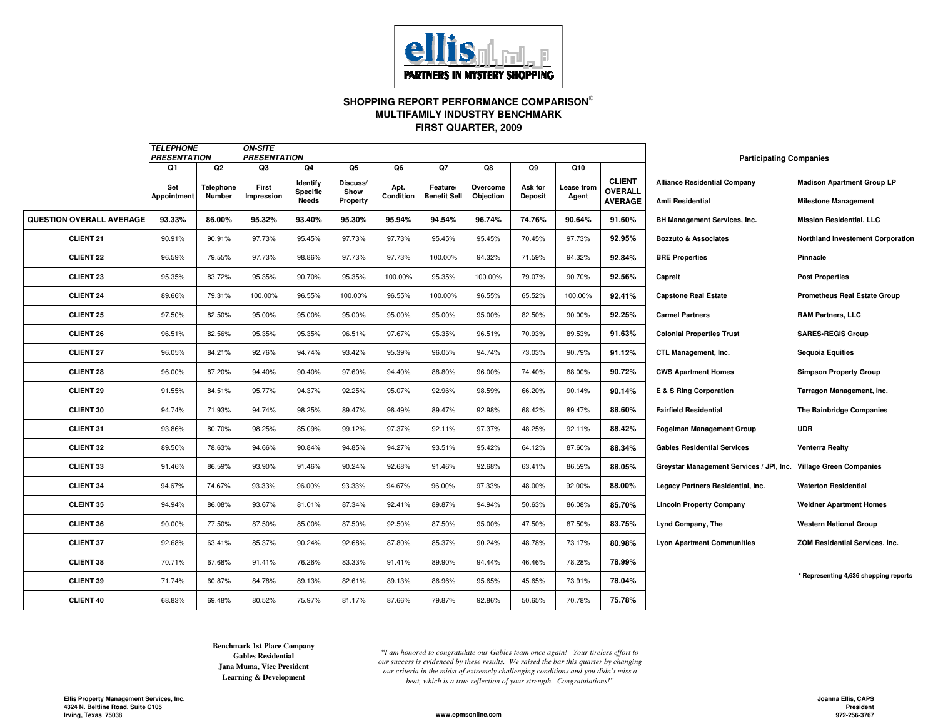

#### **SHOPPING REPORT PERFORMANCE COMPARISON FIRST QUARTER, 2009MULTIFAMILY INDUSTRY BENCHMARK**

|                                 | <b>TELEPHONE</b><br><b>PRESENTATION</b> |               | <b>ON-SITE</b><br><b>PRESENTATION</b> |                      |                  |           |                     |           |                |            |                          | <b>Participating Companies</b>                                   |                                          |
|---------------------------------|-----------------------------------------|---------------|---------------------------------------|----------------------|------------------|-----------|---------------------|-----------|----------------|------------|--------------------------|------------------------------------------------------------------|------------------------------------------|
|                                 | Q1                                      | Q2            | Q3                                    | Q4                   | Q5               | Q6        | Q7                  | Q8        | Q9             | Q10        |                          |                                                                  |                                          |
|                                 | Set                                     | Telephone     | First                                 | Identify<br>Specific | Discuss/<br>Show | Apt.      | Feature/            | Overcome  | Ask for        | Lease from | <b>CLIENT</b><br>OVERALL | <b>Alliance Residential Company</b>                              | <b>Madison Apartment Group LP</b>        |
|                                 | Appointment                             | <b>Number</b> | Impression                            | Needs                | Property         | Condition | <b>Benefit Sell</b> | Objection | <b>Deposit</b> | Agent      | <b>AVERAGE</b>           | Amli Residential                                                 | <b>Milestone Management</b>              |
| <b>QUESTION OVERALL AVERAGE</b> | 93.33%                                  | 86.00%        | 95.32%                                | 93.40%               | 95.30%           | 95.94%    | 94.54%              | 96.74%    | 74.76%         | 90.64%     | 91.60%                   | BH Management Services, Inc.                                     | <b>Mission Residential, LLC</b>          |
| <b>CLIENT 21</b>                | 90.91%                                  | 90.91%        | 97.73%                                | 95.45%               | 97.73%           | 97.73%    | 95.45%              | 95.45%    | 70.45%         | 97.73%     | 92.95%                   | <b>Bozzuto &amp; Associates</b>                                  | <b>Northland Investement Corporation</b> |
| <b>CLIENT 22</b>                | 96.59%                                  | 79.55%        | 97.73%                                | 98.86%               | 97.73%           | 97.73%    | 100.00%             | 94.32%    | 71.59%         | 94.32%     | 92.84%                   | <b>BRE Properties</b>                                            | Pinnacle                                 |
| <b>CLIENT 23</b>                | 95.35%                                  | 83.72%        | 95.35%                                | 90.70%               | 95.35%           | 100.00%   | 95.35%              | 100.00%   | 79.07%         | 90.70%     | 92.56%                   | Capreit                                                          | <b>Post Properties</b>                   |
| <b>CLIENT 24</b>                | 89.66%                                  | 79.31%        | 100.00%                               | 96.55%               | 100.00%          | 96.55%    | 100.00%             | 96.55%    | 65.52%         | 100.00%    | 92.41%                   | <b>Capstone Real Estate</b>                                      | <b>Prometheus Real Estate Group</b>      |
| <b>CLIENT 25</b>                | 97.50%                                  | 82.50%        | 95.00%                                | 95.00%               | 95.00%           | 95.00%    | 95.00%              | 95.00%    | 82.50%         | 90.00%     | 92.25%                   | <b>Carmel Partners</b>                                           | <b>RAM Partners, LLC</b>                 |
| <b>CLIENT 26</b>                | 96.51%                                  | 82.56%        | 95.35%                                | 95.35%               | 96.51%           | 97.67%    | 95.35%              | 96.51%    | 70.93%         | 89.53%     | 91.63%                   | <b>Colonial Properties Trust</b>                                 | <b>SARES-REGIS Group</b>                 |
| <b>CLIENT 27</b>                | 96.05%                                  | 84.21%        | 92.76%                                | 94.74%               | 93.42%           | 95.39%    | 96.05%              | 94.74%    | 73.03%         | 90.79%     | 91.12%                   | CTL Management, Inc.                                             | <b>Sequoia Equities</b>                  |
| <b>CLIENT 28</b>                | 96.00%                                  | 87.20%        | 94.40%                                | 90.40%               | 97.60%           | 94.40%    | 88.80%              | 96.00%    | 74.40%         | 88.00%     | 90.72%                   | <b>CWS Apartment Homes</b>                                       | <b>Simpson Property Group</b>            |
| <b>CLIENT 29</b>                | 91.55%                                  | 84.51%        | 95.77%                                | 94.37%               | 92.25%           | 95.07%    | 92.96%              | 98.59%    | 66.20%         | 90.14%     | 90.14%                   | E & S Ring Corporation                                           | Tarragon Management, Inc.                |
| <b>CLIENT 30</b>                | 94.74%                                  | 71.93%        | 94.74%                                | 98.25%               | 89.47%           | 96.49%    | 89.47%              | 92.98%    | 68.42%         | 89.47%     | 88.60%                   | <b>Fairfield Residential</b>                                     | <b>The Bainbridge Companies</b>          |
| <b>CLIENT 31</b>                | 93.86%                                  | 80.70%        | 98.25%                                | 85.09%               | 99.12%           | 97.37%    | 92.11%              | 97.37%    | 48.25%         | 92.11%     | 88.42%                   | <b>Fogelman Management Group</b>                                 | <b>UDR</b>                               |
| <b>CLIENT 32</b>                | 89.50%                                  | 78.63%        | 94.66%                                | 90.84%               | 94.85%           | 94.27%    | 93.51%              | 95.42%    | 64.12%         | 87.60%     | 88.34%                   | <b>Gables Residential Services</b>                               | <b>Venterra Realty</b>                   |
| <b>CLIENT 33</b>                | 91.46%                                  | 86.59%        | 93.90%                                | 91.46%               | 90.24%           | 92.68%    | 91.46%              | 92.68%    | 63.41%         | 86.59%     | 88.05%                   | Greystar Management Services / JPI, Inc. Village Green Companies |                                          |
| <b>CLIENT 34</b>                | 94.67%                                  | 74.67%        | 93.33%                                | 96.00%               | 93.33%           | 94.67%    | 96.00%              | 97.33%    | 48.00%         | 92.00%     | 88.00%                   | Legacy Partners Residential, Inc.                                | <b>Waterton Residential</b>              |
| <b>CLEINT 35</b>                | 94.94%                                  | 86.08%        | 93.67%                                | 81.01%               | 87.34%           | 92.41%    | 89.87%              | 94.94%    | 50.63%         | 86.08%     | 85.70%                   | <b>Lincoln Property Company</b>                                  | <b>Weidner Apartment Homes</b>           |
| <b>CLIENT 36</b>                | 90.00%                                  | 77.50%        | 87.50%                                | 85.00%               | 87.50%           | 92.50%    | 87.50%              | 95.00%    | 47.50%         | 87.50%     | 83.75%                   | Lynd Company, The                                                | <b>Western National Group</b>            |
| <b>CLIENT 37</b>                | 92.68%                                  | 63.41%        | 85.37%                                | 90.24%               | 92.68%           | 87.80%    | 85.37%              | 90.24%    | 48.78%         | 73.17%     | 80.98%                   | <b>Lyon Apartment Communities</b>                                | ZOM Residential Services, Inc.           |
| <b>CLIENT 38</b>                | 70.71%                                  | 67.68%        | 91.41%                                | 76.26%               | 83.33%           | 91.41%    | 89.90%              | 94.44%    | 46.46%         | 78.28%     | 78.99%                   |                                                                  |                                          |
| <b>CLIENT 39</b>                | 71.74%                                  | 60.87%        | 84.78%                                | 89.13%               | 82.61%           | 89.13%    | 86.96%              | 95.65%    | 45.65%         | 73.91%     | 78.04%                   |                                                                  | * Representing 4,636 shopping reports    |
| <b>CLIENT 40</b>                | 68.83%                                  | 69.48%        | 80.52%                                | 75.97%               | 81.17%           | 87.66%    | 79.87%              | 92.86%    | 50.65%         | 70.78%     | 75.78%                   |                                                                  |                                          |

**Learning & Development Jana Muma, Vice President Benchmark 1st Place CompanyGables Residential**

"*I am honored to congratulate our Gables team once again! Your tireless effort to our success is evidenced by these results. We raised the bar this quarter by changing our criteria in the midst of extremely challenging conditions and you didn't miss a beat, which is a true reflection of your strength. Congratulations!"*

**www.epmsonline.com**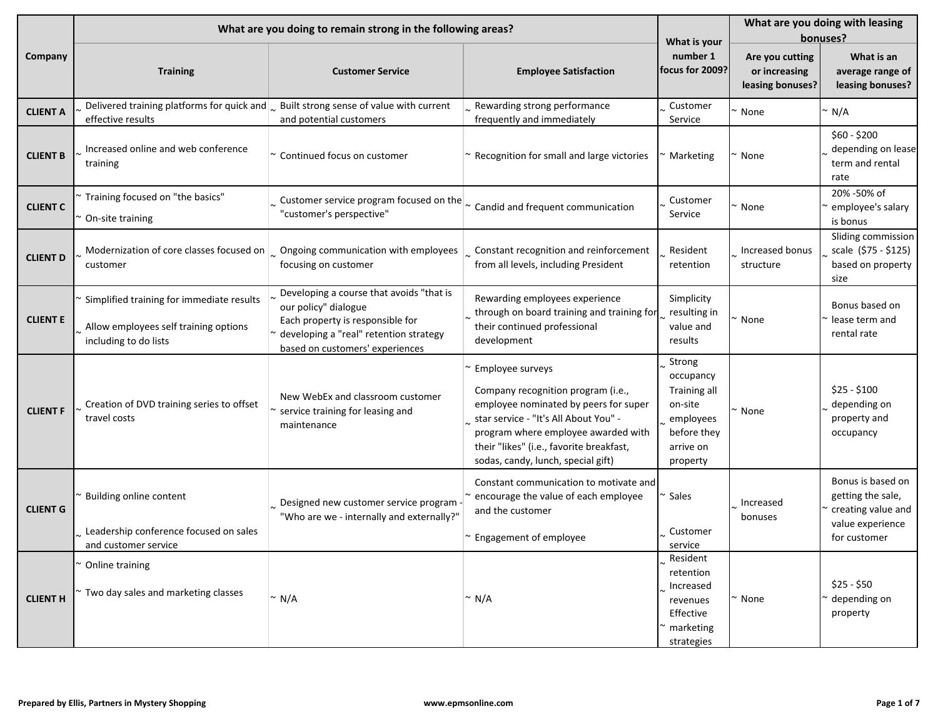|                 |                                                                                                             | What are you doing to remain strong in the following areas?                                                                                                                       |                                                                                                                                                                                                                                                                   |                                                                                                     | What are you doing with leasing<br>bonuses?          |                                                                                                  |  |
|-----------------|-------------------------------------------------------------------------------------------------------------|-----------------------------------------------------------------------------------------------------------------------------------------------------------------------------------|-------------------------------------------------------------------------------------------------------------------------------------------------------------------------------------------------------------------------------------------------------------------|-----------------------------------------------------------------------------------------------------|------------------------------------------------------|--------------------------------------------------------------------------------------------------|--|
| Company         | <b>Training</b>                                                                                             | <b>Customer Service</b>                                                                                                                                                           | <b>Employee Satisfaction</b>                                                                                                                                                                                                                                      | What is your<br>number 1<br>focus for 2009?                                                         | Are you cutting<br>or increasing<br>leasing bonuses? | What is an<br>average range of<br>leasing bonuses?                                               |  |
| <b>CLIENT A</b> | effective results                                                                                           | Delivered training platforms for quick and $\sim$ Built strong sense of value with current<br>and potential customers                                                             | Rewarding strong performance<br>frequently and immediately                                                                                                                                                                                                        | Customer<br>Service                                                                                 | None                                                 | ° N/A                                                                                            |  |
| <b>CLIENT B</b> | Increased online and web conference<br>training                                                             | ~ Continued focus on customer                                                                                                                                                     | ~ Recognition for small and large victories                                                                                                                                                                                                                       | Marketing                                                                                           | None                                                 | \$60 - \$200<br>depending on lease<br>term and rental<br>rate                                    |  |
| <b>CLIENT C</b> | Training focused on "the basics"<br>On-site training                                                        | Customer service program focused on the $\sim$ Candid and frequent communication<br>"customer's perspective"                                                                      |                                                                                                                                                                                                                                                                   | Customer<br>Service                                                                                 | None                                                 | 20% -50% of<br>employee's salary<br>is bonus                                                     |  |
| <b>CLIENT D</b> | customer                                                                                                    | Modernization of core classes focused on $\vert$ Ongoing communication with employees<br>focusing on customer                                                                     | Constant recognition and reinforcement<br>from all levels, including President                                                                                                                                                                                    | Resident<br>retention                                                                               | Increased bonus<br>structure                         | Sliding commission<br>scale (\$75 - \$125)<br>based on property<br>size                          |  |
| <b>CLIENT E</b> | Simplified training for immediate results<br>Allow employees self training options<br>including to do lists | Developing a course that avoids "that is<br>our policy" dialogue<br>Each property is responsible for<br>developing a "real" retention strategy<br>based on customers' experiences | Rewarding employees experience<br>through on board training and training for<br>their continued professional<br>development                                                                                                                                       | Simplicity<br>resulting in<br>value and<br>results                                                  | None                                                 | Bonus based on<br>lease term and<br>rental rate                                                  |  |
| <b>CLIENT F</b> | Creation of DVD training series to offset<br>travel costs                                                   | New WebEx and classroom customer<br>service training for leasing and<br>maintenance                                                                                               | Employee surveys<br>Company recognition program (i.e.,<br>employee nominated by peers for super<br>star service - "It's All About You" -<br>program where employee awarded with<br>their "likes" (i.e., favorite breakfast,<br>sodas, candy, lunch, special gift) | Strong<br>occupancy<br>Training all<br>on-site<br>employees<br>before they<br>arrive on<br>property | None                                                 | $$25 - $100$<br>depending on<br>property and<br>occupancy                                        |  |
| <b>CLIENT G</b> | Building online content<br>Leadership conference focused on sales<br>and customer service                   | Designed new customer service program -<br>"Who are we - internally and externally?"                                                                                              | Constant communication to motivate and<br>encourage the value of each employee<br>and the customer<br>~ Engagement of employee                                                                                                                                    | Sales<br>Customer<br>service                                                                        | Increased<br>bonuses                                 | Bonus is based on<br>getting the sale,<br>creating value and<br>value experience<br>for customer |  |
| <b>CLIENT H</b> | Online training<br>Two day sales and marketing classes                                                      | $~\sim$ N/A                                                                                                                                                                       | $\sim N/A$                                                                                                                                                                                                                                                        | Resident<br>retention<br>Increased<br>revenues<br>Effective<br>marketing<br>strategies              | None                                                 | $$25 - $50$<br>depending on<br>property                                                          |  |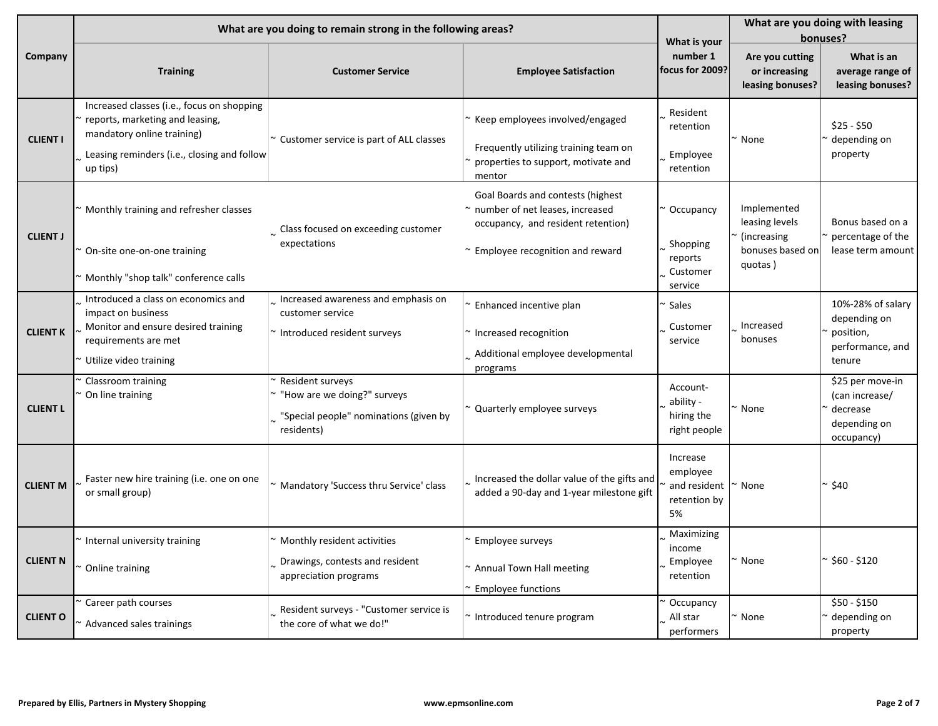|                 |                                                                                                                                                                        | What are you doing to remain strong in the following areas?                                               |                                                                                                                                                   | What is your                                               | What are you doing with leasing<br>bonuses?                                 |                                                                              |  |
|-----------------|------------------------------------------------------------------------------------------------------------------------------------------------------------------------|-----------------------------------------------------------------------------------------------------------|---------------------------------------------------------------------------------------------------------------------------------------------------|------------------------------------------------------------|-----------------------------------------------------------------------------|------------------------------------------------------------------------------|--|
| Company         | <b>Training</b>                                                                                                                                                        | <b>Customer Service</b>                                                                                   | <b>Employee Satisfaction</b>                                                                                                                      | number 1<br>focus for 2009?                                | Are you cutting<br>or increasing<br>leasing bonuses?                        | What is an<br>average range of<br>leasing bonuses?                           |  |
| <b>CLIENT I</b> | Increased classes (i.e., focus on shopping<br>reports, marketing and leasing,<br>mandatory online training)<br>Leasing reminders (i.e., closing and follow<br>up tips) | ~ Customer service is part of ALL classes                                                                 | ~ Keep employees involved/engaged<br>Frequently utilizing training team on<br>properties to support, motivate and<br>mentor                       | Resident<br>retention<br>Employee<br>retention             | None                                                                        | \$25 - \$50<br>depending on<br>property                                      |  |
| <b>CLIENT J</b> | Monthly training and refresher classes<br>On-site one-on-one training<br>Monthly "shop talk" conference calls                                                          | $\sim$ Class focused on exceeding customer<br>expectations                                                | Goal Boards and contests (highest<br>~ number of net leases, increased<br>occupancy, and resident retention)<br>~ Employee recognition and reward | Occupancy<br>Shopping<br>reports<br>Customer<br>service    | Implemented<br>leasing levels<br>(increasing<br>bonuses based on<br>quotas) | Bonus based on a<br>percentage of the<br>lease term amount                   |  |
| <b>CLIENT K</b> | Introduced a class on economics and<br>impact on business<br>Monitor and ensure desired training<br>requirements are met<br>Utilize video training                     | Increased awareness and emphasis on<br>customer service<br>$\sim$ Introduced resident surveys             | ~ Enhanced incentive plan<br>$\sim$ Increased recognition<br>Additional employee developmental<br>programs                                        | Sales<br>Customer<br>service                               | Increased<br>bonuses                                                        | 10%-28% of salary<br>depending on<br>position,<br>performance, and<br>tenure |  |
| <b>CLIENT L</b> | Classroom training<br>On line training                                                                                                                                 | Resident surveys<br>~ "How are we doing?" surveys<br>"Special people" nominations (given by<br>residents) | ~ Quarterly employee surveys                                                                                                                      | Account-<br>ability -<br>hiring the<br>right people        | None                                                                        | \$25 per move-in<br>(can increase/<br>decrease<br>depending on<br>occupancy) |  |
| <b>CLIENT M</b> | Faster new hire training (i.e. one on one<br>or small group)                                                                                                           | ~ Mandatory 'Success thru Service' class                                                                  | Increased the dollar value of the gifts and<br>added a 90-day and 1-year milestone gift                                                           | Increase<br>employee<br>and resident<br>retention by<br>5% | None                                                                        | ~ \$40                                                                       |  |
| <b>CLIENT N</b> | Internal university training<br>Online training                                                                                                                        | $\sim$ Monthly resident activities<br>Drawings, contests and resident<br>appreciation programs            | $\sim$ Employee surveys<br>~ Annual Town Hall meeting<br>~ Employee functions                                                                     | Maximizing<br>income<br>Employee<br>retention              | None                                                                        | $\frac{8}{560}$ - \$120                                                      |  |
| <b>CLIENT O</b> | Career path courses<br>~ Advanced sales trainings                                                                                                                      | Resident surveys - "Customer service is<br>the core of what we do!"                                       | ~ Introduced tenure program                                                                                                                       | Occupancy<br>All star<br>performers                        | None                                                                        | \$50 - \$150<br>depending on<br>property                                     |  |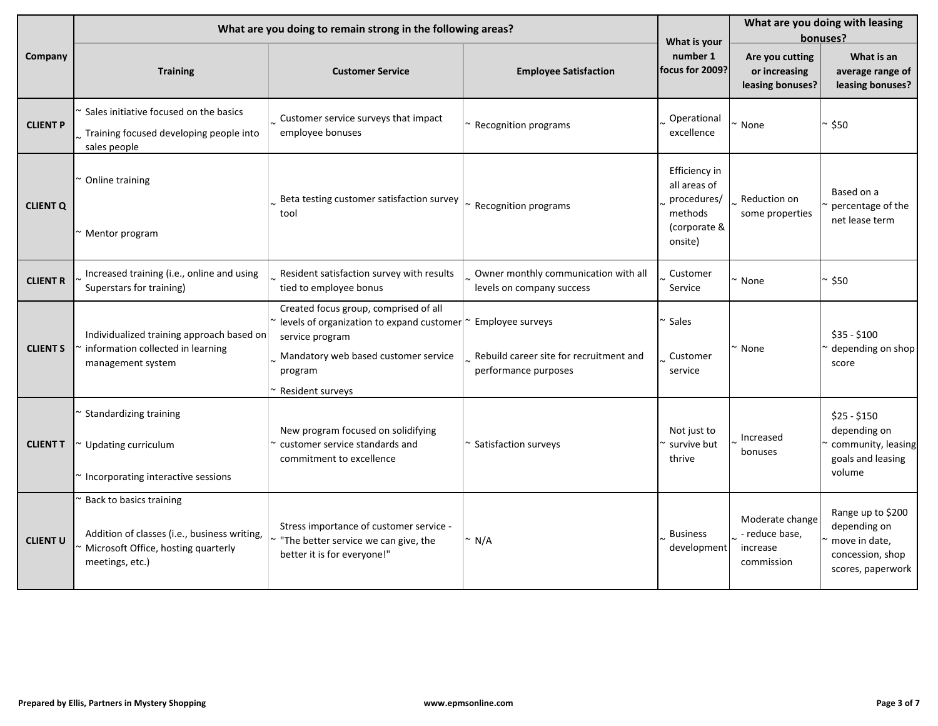|                 |                                                                                                                                   | What are you doing to remain strong in the following areas?                                                                                                                                          |                                                                   | What is your                                                                       | What are you doing with leasing<br>bonuses?                 |                                                                                             |  |
|-----------------|-----------------------------------------------------------------------------------------------------------------------------------|------------------------------------------------------------------------------------------------------------------------------------------------------------------------------------------------------|-------------------------------------------------------------------|------------------------------------------------------------------------------------|-------------------------------------------------------------|---------------------------------------------------------------------------------------------|--|
| Company         | <b>Training</b>                                                                                                                   | <b>Customer Service</b>                                                                                                                                                                              | <b>Employee Satisfaction</b>                                      | number 1<br>focus for 2009?                                                        | Are you cutting<br>or increasing<br>leasing bonuses?        | What is an<br>average range of<br>leasing bonuses?                                          |  |
| <b>CLIENT P</b> | Sales initiative focused on the basics<br>Training focused developing people into<br>sales people                                 | Customer service surveys that impact<br>employee bonuses                                                                                                                                             | ~ Recognition programs                                            | Operational<br>excellence                                                          | None                                                        | * \$50                                                                                      |  |
| <b>CLIENT Q</b> | Online training<br>Mentor program                                                                                                 | Beta testing customer satisfaction survey $\vert_{\sim}$ Recognition programs<br>tool                                                                                                                |                                                                   | Efficiency in<br>all areas of<br>procedures/<br>methods<br>(corporate &<br>onsite) | Reduction on<br>some properties                             | Based on a<br>percentage of the<br>net lease term                                           |  |
| <b>CLIENT R</b> | Increased training (i.e., online and using<br>Superstars for training)                                                            | Resident satisfaction survey with results<br>tied to employee bonus                                                                                                                                  | Owner monthly communication with all<br>levels on company success | Customer<br>Service                                                                | None                                                        | ~550                                                                                        |  |
| <b>CLIENT S</b> | Individualized training approach based on<br>information collected in learning<br>management system                               | Created focus group, comprised of all<br>levels of organization to expand customer $\sim$ Employee surveys<br>service program<br>Mandatory web based customer service<br>program<br>Resident surveys | Rebuild career site for recruitment and<br>performance purposes   | Sales<br>Customer<br>service                                                       | None                                                        | $$35 - $100$<br>depending on shop<br>score                                                  |  |
| <b>CLIENT T</b> | Standardizing training<br>Updating curriculum<br>Incorporating interactive sessions                                               | New program focused on solidifying<br>customer service standards and<br>commitment to excellence                                                                                                     | ~ Satisfaction surveys                                            | Not just to<br>survive but<br>thrive                                               | Increased<br>bonuses                                        | $$25 - $150$<br>depending on<br>community, leasing<br>goals and leasing<br>volume           |  |
| <b>CLIENT U</b> | Back to basics training<br>Addition of classes (i.e., business writing,<br>Microsoft Office, hosting quarterly<br>meetings, etc.) | Stress importance of customer service -<br>"The better service we can give, the<br>better it is for everyone!"                                                                                       | $\sim N/A$                                                        | <b>Business</b><br>development                                                     | Moderate change<br>- reduce base,<br>increase<br>commission | Range up to \$200<br>depending on<br>move in date,<br>concession, shop<br>scores, paperwork |  |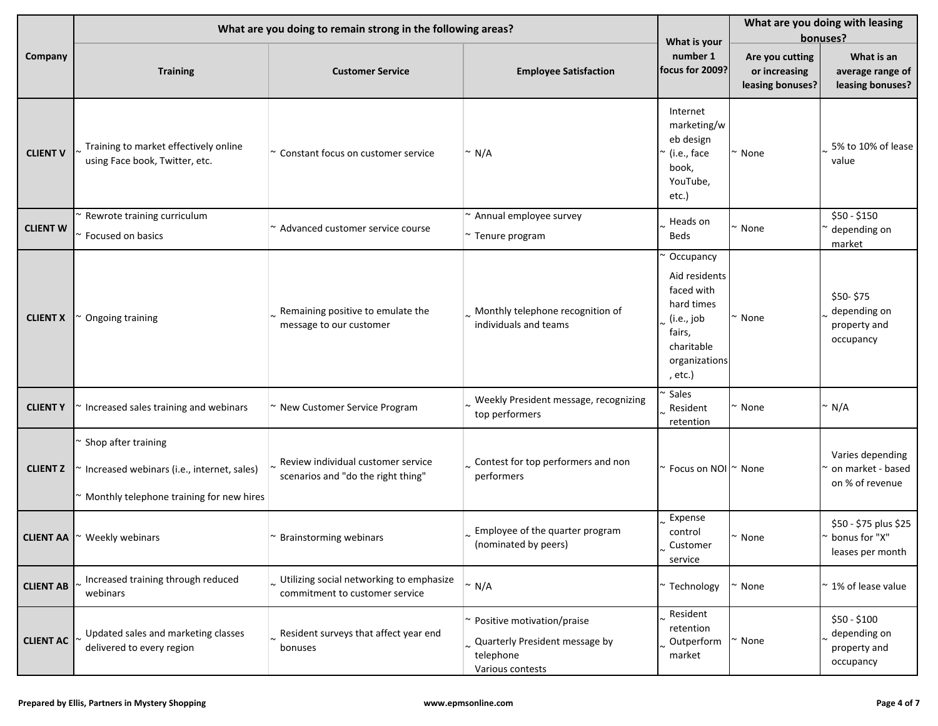|                  |                                                                                                               | What are you doing to remain strong in the following areas?                |                                                                                                 |                                                                                                                          | What are you doing with leasing<br>bonuses?          |                                                            |  |
|------------------|---------------------------------------------------------------------------------------------------------------|----------------------------------------------------------------------------|-------------------------------------------------------------------------------------------------|--------------------------------------------------------------------------------------------------------------------------|------------------------------------------------------|------------------------------------------------------------|--|
| Company          | <b>Training</b>                                                                                               | <b>Customer Service</b>                                                    | <b>Employee Satisfaction</b>                                                                    | What is your<br>number 1<br>focus for 2009?                                                                              | Are you cutting<br>or increasing<br>leasing bonuses? | What is an<br>average range of<br>leasing bonuses?         |  |
| <b>CLIENT V</b>  | Training to market effectively online<br>using Face book, Twitter, etc.                                       | $\sim$ Constant focus on customer service                                  | $\sim N/A$                                                                                      | Internet<br>marketing/w<br>eb design<br>íi.e., face<br>book,<br>YouTube,<br>etc.)                                        | ~ None                                               | 5% to 10% of lease<br>value                                |  |
| <b>CLIENT W</b>  | Rewrote training curriculum<br>Focused on basics                                                              | ~ Advanced customer service course                                         | $\sim$ Annual employee survey<br>~ Tenure program                                               | Heads on<br>Beds                                                                                                         | None                                                 | \$50 - \$150<br>depending on<br>market                     |  |
| <b>CLIENT X</b>  | Ongoing training                                                                                              | Remaining positive to emulate the<br>message to our customer               | Monthly telephone recognition of<br>individuals and teams                                       | Occupancy<br>Aid residents<br>faced with<br>hard times<br>(i.e., job<br>fairs,<br>charitable<br>organizations<br>, etc.) | ' None                                               | \$50-\$75<br>depending on<br>property and<br>occupancy     |  |
| <b>CLIENTY</b>   | Increased sales training and webinars                                                                         | ~ New Customer Service Program                                             | Weekly President message, recognizing<br>top performers                                         | Sales<br>Resident<br>retention                                                                                           | None                                                 | ′ N/A                                                      |  |
| <b>CLIENT Z</b>  | Shop after training<br>Increased webinars (i.e., internet, sales)<br>Monthly telephone training for new hires | Review individual customer service<br>scenarios and "do the right thing"   | Contest for top performers and non<br>performers                                                | $\sim$ Focus on NOI $\sim$ None                                                                                          |                                                      | Varies depending<br>on market - based<br>on % of revenue   |  |
| <b>CLIENT AA</b> | Weekly webinars                                                                                               | ~ Brainstorming webinars                                                   | Employee of the quarter program<br>(nominated by peers)                                         | Expense<br>control<br>Customer<br>service                                                                                | $\sim$ None                                          | \$50 - \$75 plus \$25<br>bonus for "X"<br>leases per month |  |
| <b>CLIENT AB</b> | Increased training through reduced<br>webinars                                                                | Utilizing social networking to emphasize<br>commitment to customer service | $\sim N/A$                                                                                      | * Technology                                                                                                             | None                                                 | 1% of lease value                                          |  |
| <b>CLIENT AC</b> | Updated sales and marketing classes<br>delivered to every region                                              | Resident surveys that affect year end<br>bonuses                           | ~ Positive motivation/praise<br>Quarterly President message by<br>telephone<br>Various contests | Resident<br>retention<br>Outperform<br>market                                                                            | None                                                 | \$50 - \$100<br>depending on<br>property and<br>occupancy  |  |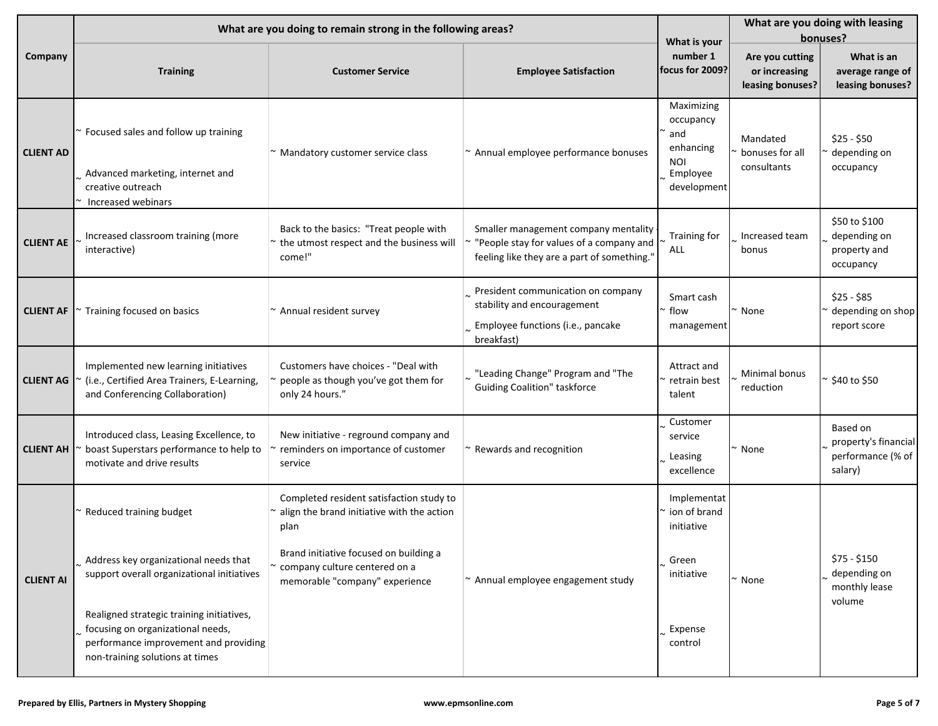|                  |                                                                                                                                                            | What are you doing to remain strong in the following areas?                                                 |                                                                                                                                 |                                                                                      | What are you doing with leasing<br>bonuses?          |                                                                  |  |
|------------------|------------------------------------------------------------------------------------------------------------------------------------------------------------|-------------------------------------------------------------------------------------------------------------|---------------------------------------------------------------------------------------------------------------------------------|--------------------------------------------------------------------------------------|------------------------------------------------------|------------------------------------------------------------------|--|
| Company          | <b>Training</b>                                                                                                                                            | <b>Customer Service</b>                                                                                     | <b>Employee Satisfaction</b>                                                                                                    | What is your<br>number 1<br>focus for 2009?                                          | Are you cutting<br>or increasing<br>leasing bonuses? | What is an<br>average range of<br>leasing bonuses?               |  |
| <b>CLIENT AD</b> | Focused sales and follow up training<br>Advanced marketing, internet and<br>creative outreach<br>Increased webinars                                        | ~ Mandatory customer service class                                                                          | ~ Annual employee performance bonuses                                                                                           | Maximizing<br>occupancy<br>and<br>enhancing<br><b>NOI</b><br>Employee<br>development | Mandated<br>bonuses for all<br>consultants           | $$25 - $50$<br>depending on<br>occupancy                         |  |
| <b>CLIENT AE</b> | Increased classroom training (more<br>interactive)                                                                                                         | Back to the basics: "Treat people with<br>~ the utmost respect and the business will<br>come!"              | Smaller management company mentality<br>"People stay for values of a company and<br>feeling like they are a part of something." | Training for<br><b>ALL</b>                                                           | Increased team<br>bonus                              | \$50 to \$100<br>depending on<br>property and<br>occupancy       |  |
| <b>CLIENT AF</b> | Training focused on basics                                                                                                                                 | $\sim$ Annual resident survey                                                                               | President communication on company<br>stability and encouragement<br>Employee functions (i.e., pancake<br>breakfast)            | Smart cash<br>flow<br>management                                                     | $\sim$ None                                          | $$25 - $85$<br>depending on shop<br>report score                 |  |
| <b>CLIENT AG</b> | Implemented new learning initiatives<br>(i.e., Certified Area Trainers, E-Learning,<br>and Conferencing Collaboration)                                     | Customers have choices - "Deal with<br>people as though you've got them for<br>only 24 hours."              | "Leading Change" Program and "The<br><b>Guiding Coalition" taskforce</b>                                                        | Attract and<br>retrain best<br>talent                                                | Minimal bonus<br>reduction                           | ~ \$40 to \$50                                                   |  |
| <b>CLIENT AH</b> | Introduced class, Leasing Excellence, to<br>boast Superstars performance to help to<br>motivate and drive results                                          | New initiative - reground company and<br>reminders on importance of customer<br>service                     | ~ Rewards and recognition                                                                                                       | Customer<br>service<br>Leasing<br>excellence                                         | ~ None                                               | Based on<br>property's financial<br>performance (% of<br>salary) |  |
|                  | Reduced training budget                                                                                                                                    | Completed resident satisfaction study to<br>$\sim$ align the brand initiative with the action<br>plan       |                                                                                                                                 | Implementat<br>ion of brand<br>initiative                                            |                                                      |                                                                  |  |
| <b>CLIENT AI</b> | Address key organizational needs that<br>support overall organizational initiatives                                                                        | Brand initiative focused on building a<br>~ company culture centered on a<br>memorable "company" experience | $\sim$ Annual employee engagement study                                                                                         | Green<br>initiative                                                                  | $~\sim$ None                                         | \$75 - \$150<br>depending on<br>monthly lease<br>volume          |  |
|                  | Realigned strategic training initiatives,<br>focusing on organizational needs,<br>performance improvement and providing<br>non-training solutions at times |                                                                                                             |                                                                                                                                 | Expense<br>control                                                                   |                                                      |                                                                  |  |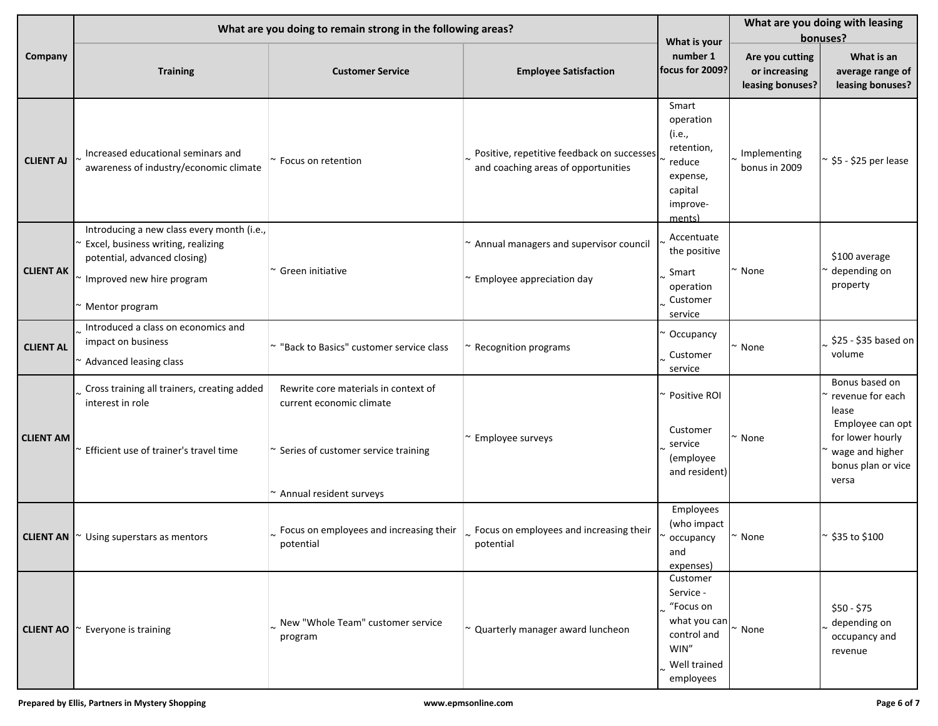|                  |                                                                                                                                                                 | What are you doing to remain strong in the following areas?                                                                            |                                                                                   |                                                                                                        | What are you doing with leasing<br>bonuses?          |                                                                                                                                       |  |
|------------------|-----------------------------------------------------------------------------------------------------------------------------------------------------------------|----------------------------------------------------------------------------------------------------------------------------------------|-----------------------------------------------------------------------------------|--------------------------------------------------------------------------------------------------------|------------------------------------------------------|---------------------------------------------------------------------------------------------------------------------------------------|--|
| Company          | <b>Training</b>                                                                                                                                                 | <b>Customer Service</b>                                                                                                                | <b>Employee Satisfaction</b>                                                      | What is your<br>number 1<br>focus for 2009?                                                            | Are you cutting<br>or increasing<br>leasing bonuses? | What is an<br>average range of<br>leasing bonuses?                                                                                    |  |
| <b>CLIENT AJ</b> | Increased educational seminars and<br>awareness of industry/economic climate                                                                                    | ~ Focus on retention                                                                                                                   | Positive, repetitive feedback on successes<br>and coaching areas of opportunities | Smart<br>operation<br>(i.e.,<br>retention,<br>reduce<br>expense,<br>capital<br>improve-<br>ments)      | Implementing<br>bonus in 2009                        | \$5 - \$25 per lease                                                                                                                  |  |
| <b>CLIENT AK</b> | Introducing a new class every month (i.e.,<br>Excel, business writing, realizing<br>potential, advanced closing)<br>Improved new hire program<br>Mentor program | $\sim$ Green initiative                                                                                                                | ~ Annual managers and supervisor council<br>$\sim$ Employee appreciation day      | Accentuate<br>the positive<br>Smart<br>operation<br>Customer<br>service                                | None                                                 | \$100 average<br>depending on<br>property                                                                                             |  |
| <b>CLIENT AL</b> | Introduced a class on economics and<br>impact on business<br>Advanced leasing class                                                                             | ~ "Back to Basics" customer service class                                                                                              | Recognition programs                                                              | Occupancy<br>Customer<br>service                                                                       | None                                                 | \$25 - \$35 based on<br>volume                                                                                                        |  |
| <b>CLIENT AM</b> | Cross training all trainers, creating added<br>interest in role<br>Efficient use of trainer's travel time                                                       | Rewrite core materials in context of<br>current economic climate<br>~ Series of customer service training<br>~ Annual resident surveys | Employee surveys                                                                  | Positive ROI<br>Customer<br>service<br>(employee<br>and resident)                                      | None                                                 | Bonus based on<br>revenue for each<br>lease<br>Employee can opt<br>for lower hourly<br>wage and higher<br>bonus plan or vice<br>versa |  |
| <b>CLIENT AN</b> | Using superstars as mentors                                                                                                                                     | $\sim$ Focus on employees and increasing their<br>potential                                                                            | $\left  \right $ . Focus on employees and increasing their<br>potential           | Employees<br>(who impact<br>occupancy<br>and<br>expenses)                                              | None                                                 | ~ \$35 to \$100                                                                                                                       |  |
| <b>CLIENT AO</b> | Everyone is training                                                                                                                                            | New "Whole Team" customer service<br>program                                                                                           | $\sim$ Quarterly manager award luncheon                                           | Customer<br>Service -<br>"Focus on<br>what you can<br>control and<br>WIN"<br>Well trained<br>employees | None                                                 | \$50 - \$75<br>depending on<br>occupancy and<br>revenue                                                                               |  |